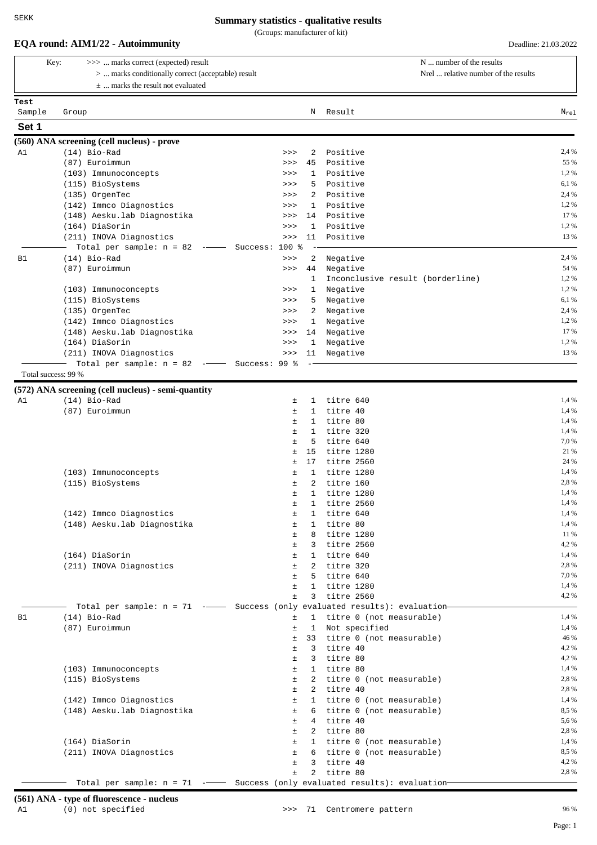(Groups: manufacturer of kit)

|                                   | (Groups: manufacturer of Kit) |
|-----------------------------------|-------------------------------|
| EQA round: AIM1/22 - Autoimmunity | Deadline: 21.03.2022          |

|                     | Key:  | >>>  marks correct (expected) result                                         |                |                   | N  number of the results                     |                |
|---------------------|-------|------------------------------------------------------------------------------|----------------|-------------------|----------------------------------------------|----------------|
|                     |       | >  marks conditionally correct (acceptable) result                           |                |                   | Nrel  relative number of the results         |                |
|                     |       | $\pm$ marks the result not evaluated                                         |                |                   |                                              |                |
| Test                |       |                                                                              |                |                   |                                              |                |
| Sample              | Group |                                                                              |                | Ν                 | Result                                       | $N_{rel}$      |
| Set 1               |       |                                                                              |                |                   |                                              |                |
|                     |       | (560) ANA screening (cell nucleus) - prove                                   |                |                   |                                              |                |
| A1                  |       | $(14)$ Bio-Rad<br>(87) Euroimmun                                             | >><br>>>       | 2<br>45           | Positive<br>Positive                         | 2,4 %<br>55 %  |
|                     |       | (103) Immunoconcepts                                                         | >>>            | 1                 | Positive                                     | 1,2%           |
|                     |       | (115) BioSystems                                                             | >>             | 5                 | Positive                                     | 6,1 %          |
|                     |       | (135) OrgenTec                                                               | >>>            | 2                 | Positive                                     | 2,4 %          |
|                     |       | (142) Immco Diagnostics                                                      | >>             | 1                 | Positive                                     | 1,2%           |
|                     |       | (148) Aesku.lab Diagnostika                                                  | >>             | 14                | Positive                                     | 17 %           |
|                     |       | (164) DiaSorin                                                               | >>             | 1                 | Positive                                     | 1,2%           |
|                     |       | (211) INOVA Diagnostics                                                      | >>             | 11                | Positive                                     | 13 %           |
|                     |       | Total per sample: $n = 82$<br>$ -$                                           | Success: 100 % |                   |                                              |                |
| <b>B1</b>           |       | $(14)$ Bio-Rad                                                               | >>             | 2                 | Negative                                     | 2,4 %          |
|                     |       | (87) Euroimmun                                                               | >>             | 44<br>1           | Negative<br>Inconclusive result (borderline) | 54 %<br>1,2%   |
|                     |       | (103) Immunoconcepts                                                         | >>             | 1                 | Negative                                     | 1,2%           |
|                     |       | (115) BioSystems                                                             | >>>            | 5                 | Negative                                     | 6,1 %          |
|                     |       | (135) OrgenTec                                                               | >>>            | 2                 | Negative                                     | 2,4 %          |
|                     |       | (142) Immco Diagnostics                                                      | >>>            | 1                 | Negative                                     | 1,2%           |
|                     |       | (148) Aesku.lab Diagnostika                                                  | >>>            | 14                | Negative                                     | 17 %           |
|                     |       | (164) DiaSorin                                                               | >>             | 1                 | Negative                                     | 1,2%           |
|                     |       | (211) INOVA Diagnostics                                                      | >>             | 11                | Negative                                     | 13 %           |
|                     |       | Total per sample: $n = 82$ --                                                | Success: 99 %  |                   |                                              |                |
| Total success: 99 % |       |                                                                              |                |                   |                                              |                |
|                     |       | (572) ANA screening (cell nucleus) - semi-quantity                           |                |                   |                                              |                |
| A1                  |       | $(14)$ Bio-Rad                                                               | ±              | $\mathbf{1}$      | titre 640                                    | 1,4 %          |
|                     |       | (87) Euroimmun                                                               | ±              | 1                 | titre 40                                     | 1,4 %          |
|                     |       |                                                                              | ±<br>$\pm$     | 1<br>1            | titre 80<br>titre 320                        | 1,4 %<br>1,4 % |
|                     |       |                                                                              | $\pm$          | 5                 | titre 640                                    | 7,0%           |
|                     |       |                                                                              | ±              | 15                | titre 1280                                   | 21 %           |
|                     |       |                                                                              | Ŧ              | 17                | titre 2560                                   | 24 %           |
|                     |       | (103) Immunoconcepts                                                         | ±              | 1                 | titre 1280                                   | 1,4 %          |
|                     |       | (115) BioSystems                                                             | ±              | 2                 | titre 160                                    | 2,8%           |
|                     |       |                                                                              | ±              | $\mathbf{1}$      | titre 1280                                   | 1,4 %          |
|                     |       |                                                                              | $\pm$          | $\mathbf{1}$      | titre 2560                                   | 1,4 %          |
|                     |       | (142) Immco Diagnostics                                                      | ±              | 1                 | titre 640                                    | 1,4 %          |
|                     |       | (148) Aesku.lab Diagnostika                                                  | Ŧ.<br>$\pm$    | $\mathbf{1}$<br>8 | titre 80<br>titre 1280                       | 1,4 %<br>11 %  |
|                     |       |                                                                              | ±              | $3 -$             | titre 2560                                   | 4,2%           |
|                     |       | (164) DiaSorin                                                               | ±              |                   | 1 titre 640                                  | 1,4 %          |
|                     |       | (211) INOVA Diagnostics                                                      | Ŧ.             |                   | 2 titre 320                                  | 2,8%           |
|                     |       |                                                                              | $\pm$          | 5                 | titre 640                                    | 7,0 %          |
|                     |       |                                                                              | $\pm$          | $\mathbf{1}$      | titre 1280                                   | 1,4 %          |
|                     |       |                                                                              | $\pm$          | $\mathbf{3}$      | titre 2560                                   | 4,2%           |
|                     |       | Total per sample: $n = 71$ --- Success (only evaluated results): evaluation- |                |                   |                                              |                |
| B1                  |       | $(14)$ Bio-Rad                                                               | ±              | $\mathbf{1}$      | titre 0 (not measurable)                     | 1,4 %          |
|                     |       | (87) Euroimmun                                                               | ±              | $\mathbf{1}$      | Not specified                                | 1,4 %<br>46 %  |
|                     |       |                                                                              | ±<br>$\pm$     | 3                 | 33 titre 0 (not measurable)<br>titre 40      | 4,2%           |
|                     |       |                                                                              | $\pm$          | $\mathbf{3}$      | titre 80                                     | 4,2 %          |
|                     |       | (103) Immunoconcepts                                                         | ±              |                   | 1 titre 80                                   | 1,4 %          |
|                     |       | (115) BioSystems                                                             | $\pm$          |                   | 2 titre 0 (not measurable)                   | 2,8%           |
|                     |       |                                                                              | $\pm$          | $2^{\circ}$       | titre 40                                     | 2,8%           |
|                     |       | (142) Immco Diagnostics                                                      | ±              |                   | 1 titre 0 (not measurable)                   | 1,4 %          |
|                     |       | (148) Aesku.lab Diagnostika                                                  | $\pm$          |                   | 6 titre 0 (not measurable)                   | 8,5%           |
|                     |       |                                                                              | Ŧ.             |                   | 4 titre 40                                   | 5,6 %          |
|                     |       |                                                                              | $\pm$          |                   | 2 titre 80                                   | 2,8%           |
|                     |       | (164) DiaSorin                                                               | ±              |                   | 1 titre 0 (not measurable)                   | 1,4 %          |
|                     |       | (211) INOVA Diagnostics                                                      | ±              |                   | 6 titre 0 (not measurable)                   | 8,5%           |
|                     |       |                                                                              | $\pm$<br>$\pm$ | $\mathbf{3}$      | titre 40                                     | 4,2%<br>2,8%   |
|                     |       | Total per sample: n = 71 -- Success (only evaluated results): evaluation-    |                | $\mathbf{2}$      | titre 80                                     |                |
|                     |       |                                                                              |                |                   |                                              |                |

**(561) ANA - type of fluorescence - nucleus**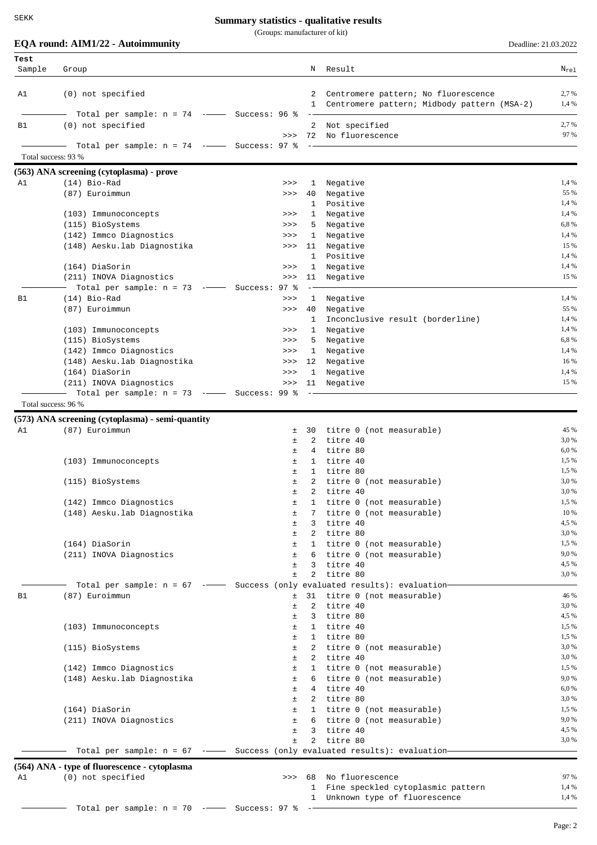(Groups: manufacturer of kit)

**EQA round: AIM1/22 - Autoimmunity** Deadline: 21.03.2022

| Test                |                                                                            |                |                   |                                                                                      |                  |
|---------------------|----------------------------------------------------------------------------|----------------|-------------------|--------------------------------------------------------------------------------------|------------------|
| Sample              | Group                                                                      |                | N                 | Result                                                                               | $N_{\text{rel}}$ |
| A1                  | (0) not specified                                                          |                | 2                 | Centromere pattern; No fluorescence<br>1 Centromere pattern; Midbody pattern (MSA-2) | 2,7 %<br>1,4 %   |
|                     | Total per sample: $n = 74$ --- Success: 96 %                               |                |                   |                                                                                      |                  |
| B1                  | (0) not specified                                                          | >>             |                   | 2 Not specified<br>72 No fluorescence                                                | 2,7 %<br>97 %    |
|                     | Total per sample: $n = 74$ -- Success: 97 %                                |                |                   |                                                                                      |                  |
| Total success: 93 % |                                                                            |                |                   |                                                                                      |                  |
|                     | (563) ANA screening (cytoplasma) - prove                                   |                |                   |                                                                                      |                  |
| A1                  | $(14)$ Bio-Rad                                                             | >>             | 1                 | Negative                                                                             | 1,4 %            |
|                     | (87) Euroimmun                                                             | >>             | 40                | Negative<br>Positive                                                                 | 55 %<br>1,4 %    |
|                     | (103) Immunoconcepts                                                       | >>             | 1<br>1            | Negative                                                                             | 1,4 %            |
|                     | (115) BioSystems                                                           | >>             | 5                 | Negative                                                                             | 6,8%             |
|                     | (142) Immco Diagnostics                                                    | >>             | $\mathbf{1}$      | Negative                                                                             | 1,4 %            |
|                     | (148) Aesku.lab Diagnostika                                                | >>             | 11                | Negative                                                                             | 15 %             |
|                     |                                                                            |                | 1                 | Positive                                                                             | 1,4 %            |
|                     | (164) DiaSorin                                                             | >>             | 1                 | Negative                                                                             | 1,4 %            |
|                     | (211) INOVA Diagnostics                                                    | >>             | 11                | Negative                                                                             | 15 %             |
|                     | Total per sample: $n = 73$ -- Success: 97 %                                |                |                   |                                                                                      |                  |
| <b>B1</b>           | $(14)$ Bio-Rad                                                             | >>             | 1                 | Negative                                                                             | 1,4 %            |
|                     | (87) Euroimmun                                                             | >>             | 40<br>1           | Negative                                                                             | 55 %<br>1,4 %    |
|                     | (103) Immunoconcepts                                                       | >>             |                   | Inconclusive result (borderline)<br>1 Negative                                       | 1,4 %            |
|                     | (115) BioSystems                                                           | >>             |                   | 5 Negative                                                                           | 6,8%             |
|                     | (142) Immco Diagnostics                                                    | >>             |                   | 1 Negative                                                                           | 1,4 %            |
|                     | (148) Aesku.lab Diagnostika                                                | >>>            | 12                | Negative                                                                             | 16 %             |
|                     | (164) DiaSorin                                                             | >>             | 1                 | Negative                                                                             | 1,4 %            |
|                     | (211) INOVA Diagnostics                                                    | >>             | 11                | Negative                                                                             | 15 %             |
|                     | Total per sample: $n = 73$ -- Success: 99 %                                |                |                   |                                                                                      |                  |
| Total success: 96 % |                                                                            |                |                   |                                                                                      |                  |
|                     | (573) ANA screening (cytoplasma) - semi-quantity                           |                |                   |                                                                                      |                  |
| A1                  | (87) Euroimmun                                                             | ±              | 30                | titre 0 (not measurable)                                                             | 45 %             |
|                     |                                                                            | ±              | 2                 | titre 40                                                                             | 3,0 %            |
|                     |                                                                            | ±              | 4                 | titre 80                                                                             | 6,0 %            |
|                     | (103) Immunoconcepts                                                       | ±<br>±         | 1<br>$\mathbf{1}$ | titre 40<br>titre 80                                                                 | 1,5 %<br>1,5 %   |
|                     | (115) BioSystems                                                           | ±              | 2                 | titre 0 (not measurable)                                                             | 3,0 %            |
|                     |                                                                            | $\pm$          | 2                 | titre 40                                                                             | 3,0 %            |
|                     | (142) Immco Diagnostics                                                    | ±              |                   | titre 0 (not measurable)                                                             | $1,5\ \%$        |
|                     | (148) Aesku.lab Diagnostika                                                | ±              | 7                 | titre 0 (not measurable)                                                             | 10 %             |
|                     |                                                                            | $\pm$          | 3                 | titre 40                                                                             | 4,5 %            |
|                     |                                                                            | Ŧ.             |                   | 2 titre 80                                                                           | 3,0 %            |
|                     | (164) DiaSorin                                                             | ±              |                   | 1 titre 0 (not measurable)                                                           | 1,5 %<br>9,0%    |
|                     | (211) INOVA Diagnostics                                                    | ±<br>$\pm$     | 3                 | 6 titre 0 (not measurable)<br>titre 40                                               | 4,5 %            |
|                     |                                                                            | $\pm$          | $\overline{a}$    | titre 80                                                                             | 3,0 %            |
|                     | Total per sample: n = 67 -- Success (only evaluated results): evaluation-  |                |                   |                                                                                      |                  |
| в1                  | (87) Euroimmun                                                             | $\pm$          | 31                | titre 0 (not measurable)                                                             | 46 %             |
|                     |                                                                            | Ŧ              | 2                 | titre 40                                                                             | 3,0 %            |
|                     |                                                                            | ±              | 3                 | titre 80                                                                             | 4,5 %            |
|                     | (103) Immunoconcepts                                                       | ±              |                   | 1 titre 40                                                                           | 1,5 %            |
|                     |                                                                            | $\pm$          |                   | 1 titre 80                                                                           | 1,5 %<br>3,0 %   |
|                     | (115) BioSystems                                                           | $\pm$<br>$\pm$ |                   | 2 titre 0 (not measurable)<br>2 titre 40                                             | 3,0 %            |
|                     | (142) Immco Diagnostics                                                    | $\pm$          |                   | 1 titre 0 (not measurable)                                                           | 1,5 %            |
|                     | (148) Aesku.lab Diagnostika                                                | $\pm$          |                   | 6 titre 0 (not measurable)                                                           | 9,0 %            |
|                     |                                                                            | $\pm$          |                   | 4 titre 40                                                                           | 6,0 %            |
|                     |                                                                            | ±              |                   | 2 titre 80                                                                           | 3,0 %            |
|                     | (164) DiaSorin                                                             | ±              |                   | 1 titre 0 (not measurable)                                                           | 1,5 %            |
|                     | (211) INOVA Diagnostics                                                    | ±              |                   | 6 titre 0 (not measurable)                                                           | 9,0%             |
|                     |                                                                            | $\pm$          |                   | 3 titre 40                                                                           | 4,5 %<br>3,0%    |
|                     | Total per sample: $n = 67$ - Success (only evaluated results): evaluation- | $\pm$          |                   | 2 titre 80                                                                           |                  |
|                     |                                                                            |                |                   |                                                                                      |                  |
|                     | (564) ANA - type of fluorescence - cytoplasma                              |                |                   |                                                                                      |                  |
| A1                  | (0) not specified                                                          |                |                   | >>> 68 No fluorescence<br>1 Fine speckled cytoplasmic pattern                        | 97 %<br>1,4 %    |
|                     |                                                                            |                |                   | 1 Unknown type of fluorescence                                                       | 1,4 %            |
|                     | Total per sample: $n = 70$ -- Success: 97 %                                |                |                   |                                                                                      |                  |
|                     |                                                                            |                |                   |                                                                                      | Page: 2          |
|                     |                                                                            |                |                   |                                                                                      |                  |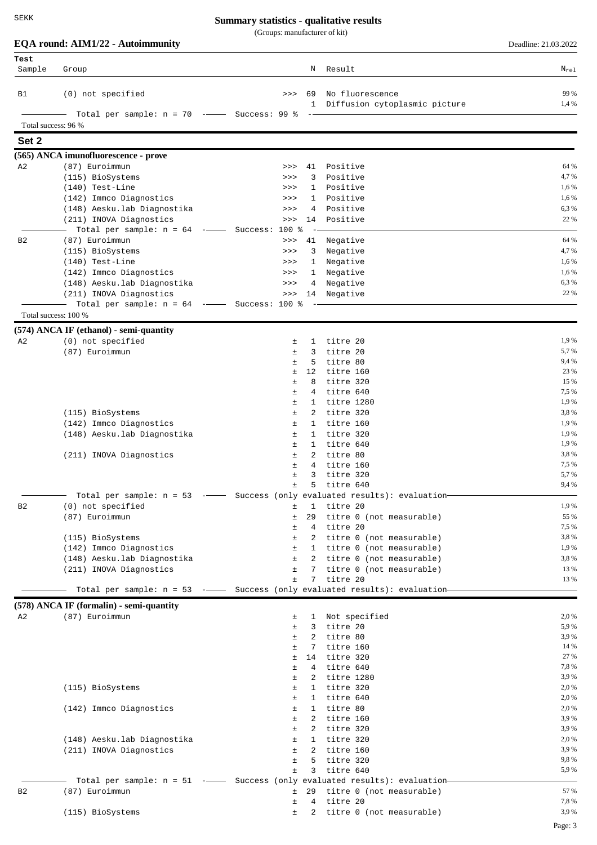| SEKK                |                                                                           | <b>Summary statistics - qualitative results</b> |                   |                                                    |                      |
|---------------------|---------------------------------------------------------------------------|-------------------------------------------------|-------------------|----------------------------------------------------|----------------------|
|                     |                                                                           | (Groups: manufacturer of kit)                   |                   |                                                    |                      |
|                     | EQA round: AIM1/22 - Autoimmunity                                         |                                                 |                   |                                                    | Deadline: 21.03.2022 |
| Test<br>Sample      | Group                                                                     |                                                 | Ν                 | Result                                             | $N_{\rm rel}$        |
|                     |                                                                           |                                                 |                   |                                                    |                      |
| в1                  | (0) not specified                                                         | >>                                              | 69                | No fluorescence<br>1 Diffusion cytoplasmic picture | 99 %<br>1,4 %        |
|                     | Total per sample: $n = 70$ -- Success: 99 %                               |                                                 | $ -$              |                                                    |                      |
| Total success: 96 % |                                                                           |                                                 |                   |                                                    |                      |
| Set 2               |                                                                           |                                                 |                   |                                                    |                      |
|                     | (565) ANCA imunofluorescence - prove                                      |                                                 |                   |                                                    |                      |
| A <sub>2</sub>      | (87) Euroimmun                                                            | >>                                              | 41                | Positive                                           | 64 %                 |
|                     | (115) BioSystems                                                          | >>                                              | 3                 | Positive                                           | 4,7 %                |
|                     | $(140)$ Test-Line                                                         | >>                                              |                   | 1 Positive                                         | 1,6 %                |
|                     | (142) Immco Diagnostics                                                   | >>                                              | $\mathbf{1}$      | Positive                                           | 1,6 %                |
|                     | (148) Aesku.lab Diagnostika                                               | >>                                              | 4                 | Positive                                           | 6,3%                 |
|                     | (211) INOVA Diagnostics                                                   | >>                                              | 14                | Positive                                           | 22 %                 |
|                     | Total per sample: $n = 64$ -- Success: 100 %                              |                                                 |                   |                                                    | 64 %                 |
| B2                  | (87) Euroimmun<br>(115) BioSystems                                        | >><br>>>                                        | 41<br>3           | Negative<br>Negative                               | 4,7 %                |
|                     | (140) Test-Line                                                           | >>                                              | 1                 | Negative                                           | 1,6 %                |
|                     | (142) Immco Diagnostics                                                   | >>                                              | 1                 | Negative                                           | 1,6 %                |
|                     | (148) Aesku.lab Diagnostika                                               | >>                                              | 4                 | Negative                                           | 6,3%                 |
|                     | (211) INOVA Diagnostics                                                   | >>                                              | 14                | Negative                                           | 22 %                 |
|                     | Total per sample: $n = 64$ -- Success: 100 %                              |                                                 |                   |                                                    |                      |
|                     | Total success: 100 %                                                      |                                                 |                   |                                                    |                      |
|                     | (574) ANCA IF (ethanol) - semi-quantity                                   |                                                 |                   |                                                    |                      |
| A2                  | (0) not specified                                                         | ±.                                              | 1                 | titre 20                                           | 1,9 %                |
|                     | (87) Euroimmun                                                            | $\pm$                                           | 3                 | titre 20                                           | 5,7 %                |
|                     |                                                                           | $\pm$                                           | 5                 | titre 80                                           | 9,4 %                |
|                     |                                                                           | 土                                               | 12                | titre 160                                          | 23 %                 |
|                     |                                                                           | 土<br>土                                          | 8<br>4            | titre 320<br>titre 640                             | 15 %<br>7,5 %        |
|                     |                                                                           | Ŧ.                                              | 1                 | titre 1280                                         | 1,9 %                |
|                     | (115) BioSystems                                                          | Ŧ.                                              | 2                 | titre 320                                          | 3,8%                 |
|                     | (142) Immco Diagnostics                                                   | 土                                               | 1                 | titre 160                                          | 1,9 %                |
|                     | (148) Aesku.lab Diagnostika                                               | $\pm$                                           | 1                 | titre 320                                          | 1,9 %                |
|                     |                                                                           | Ŧ.                                              | $\mathbf{1}$      | titre 640                                          | 1,9 %                |
|                     | (211) INOVA Diagnostics                                                   | $\pm$                                           | 2                 | titre 80                                           | 3,8%                 |
|                     |                                                                           | $+$                                             |                   | 4 titre 160                                        | 7,5 %<br>5,7 %       |
|                     |                                                                           | 土<br>$\pm$                                      | 3<br>5            | titre 320<br>titre 640                             | 9,4 %                |
|                     | Total per sample: n = 53 -- Success (only evaluated results): evaluation- |                                                 |                   |                                                    |                      |
| B2                  | (0) not specified                                                         | Ŧ.                                              | $\mathbf{1}$      | titre 20                                           | 1,9%                 |
|                     | (87) Euroimmun                                                            | $\pm$                                           | 29                | titre 0 (not measurable)                           | 55 %                 |
|                     |                                                                           | $\pm$                                           |                   | 4 titre 20                                         | 7,5 %                |
|                     | (115) BioSystems                                                          | $\pm$                                           |                   | 2 titre 0 (not measurable)                         | 3,8%                 |
|                     | (142) Immco Diagnostics                                                   | ±                                               |                   | 1 titre 0 (not measurable)                         | 1,9 %                |
|                     | (148) Aesku.lab Diagnostika                                               | $\pm$                                           |                   | 2 titre 0 (not measurable)                         | 3,8%                 |
|                     | (211) INOVA Diagnostics                                                   | $\pm$<br>$\pm$                                  | 7<br>7            | titre 0 (not measurable)<br>titre 20               | 13 %<br>13 %         |
|                     | Total per sample: n = 53 -- Success (only evaluated results): evaluation- |                                                 |                   |                                                    |                      |
|                     |                                                                           |                                                 |                   |                                                    |                      |
|                     | (578) ANCA IF (formalin) - semi-quantity                                  |                                                 |                   |                                                    | 2,0 %                |
| A2                  | (87) Euroimmun                                                            | ±.<br>$\pm$                                     | 1<br>$\mathbf{3}$ | Not specified<br>titre 20                          | 5,9 %                |
|                     |                                                                           | $\pm$                                           | 2                 | titre 80                                           | 3,9 %                |
|                     |                                                                           | Ŧ.                                              | 7                 | titre 160                                          | 14 %                 |
|                     |                                                                           | Ŧ.                                              | 14                | titre 320                                          | 27 %                 |
|                     |                                                                           | 土                                               | 4                 | titre 640                                          | 7,8%                 |
|                     |                                                                           | Ŧ.                                              | 2                 | titre 1280                                         | 3,9%                 |
|                     | (115) BioSystems                                                          | Ŧ.                                              |                   | 1 titre 320                                        | 2,0 %                |
|                     |                                                                           | Ŧ.                                              | 1                 | titre 640                                          | 2,0%<br>2,0 %        |
|                     | (142) Immco Diagnostics                                                   | ±<br>Ŧ.                                         | 1                 | titre 80<br>titre 160                              | 3,9%                 |
|                     |                                                                           | $\pm$                                           | 2                 | titre 320                                          | 3,9%                 |
|                     | (148) Aesku.lab Diagnostika                                               | Ŧ.                                              | $\mathbf{1}$      | titre 320                                          | 2,0 %                |
|                     | (211) INOVA Diagnostics                                                   | $\pm$                                           | 2                 | titre 160                                          | 3,9%                 |
|                     |                                                                           | $\pm$                                           | 5                 | titre 320                                          | 9,8%                 |
|                     |                                                                           | $\pm$                                           | 3                 | titre 640                                          | 5,9%                 |
|                     | Total per sample: n = 51 -- Success (only evaluated results): evaluation- |                                                 |                   |                                                    |                      |
| <b>B2</b>           | (87) Euroimmun                                                            |                                                 |                   | ± 29 titre 0 (not measurable)                      | 57 %                 |

(115) BioSystems ± 2 titre 0 (not measurable) 3,9 %

± 4 titre 20 7,8 %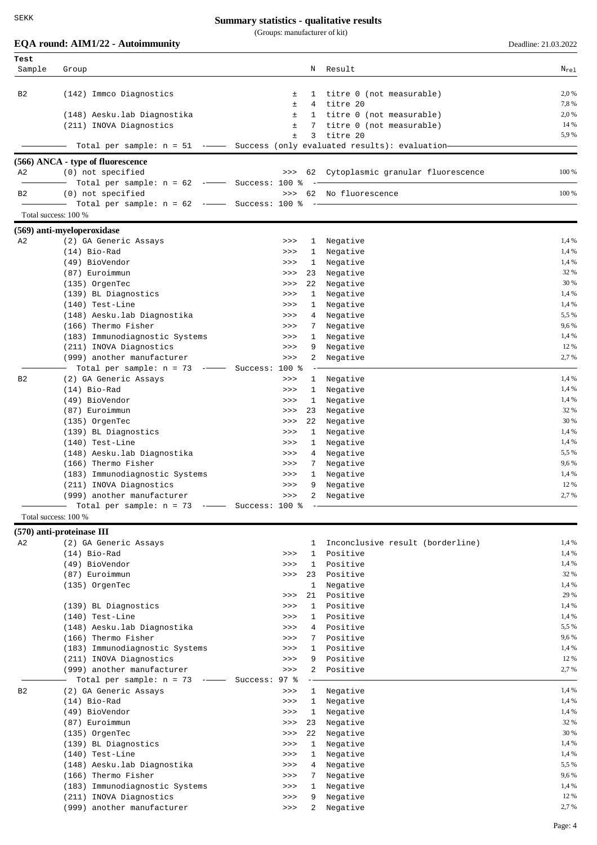(Groups: manufacturer of kit)

|                | EQA round: AIM1/22 - Autoimmunity                                                                     |                                                |                              |                                        | Deadline: 21.03.2022 |
|----------------|-------------------------------------------------------------------------------------------------------|------------------------------------------------|------------------------------|----------------------------------------|----------------------|
| Test<br>Sample | Group                                                                                                 |                                                | N                            | Result                                 | $\rm N_{\rm rel}$    |
|                |                                                                                                       |                                                |                              |                                        |                      |
| В2             | (142) Immco Diagnostics                                                                               | ±                                              | $\mathbf{1}$                 | titre 0 (not measurable)               | 2,0 %<br>7,8%        |
|                | (148) Aesku.lab Diagnostika                                                                           | Ŧ.<br>Ŧ.                                       | 4                            | titre 20<br>1 titre 0 (not measurable) | 2,0 %                |
|                | (211) INOVA Diagnostics                                                                               | $\pm$                                          | 7                            | titre 0 (not measurable)               | 14 %                 |
|                |                                                                                                       | $\pm$                                          | 3                            | titre 20                               | 5,9%                 |
|                | Total per sample: $n = 51$ - $\overline{\phantom{nnn}}$ Success (only evaluated results): evaluation- |                                                |                              |                                        |                      |
|                | (566) ANCA - type of fluorescence                                                                     |                                                |                              |                                        |                      |
| A2             | (0) not specified<br>Total per sample: $n = 62$ -- Success: 100 %                                     | >>                                             |                              | 62 Cytoplasmic granular fluorescence   | 100 %                |
| в2             | (0) not specified                                                                                     | >>                                             |                              | 62 No fluorescence                     | 100 %                |
|                | Total per sample: $n = 62$ -- Success: 100 %                                                          |                                                |                              |                                        |                      |
|                | Total success: 100 %                                                                                  |                                                |                              |                                        |                      |
|                | (569) anti-myeloperoxidase                                                                            |                                                |                              |                                        |                      |
| A2             | (2) GA Generic Assays                                                                                 | >>                                             |                              | 1 Negative                             | 1,4 %                |
|                | $(14)$ Bio-Rad                                                                                        | >>                                             | $\mathbf{1}$                 | Negative                               | 1,4 %                |
|                | (49) BioVendor                                                                                        | >>                                             | $\mathbf{1}$                 | Negative                               | 1,4 %                |
|                | (87) Euroimmun                                                                                        | >>                                             | 23                           | Negative                               | 32 %                 |
|                | (135) OrgenTec                                                                                        | >>                                             | 22                           | Negative                               | 30 %                 |
|                | (139) BL Diagnostics                                                                                  | >>                                             | $\mathbf{1}$                 | Negative                               | 1,4 %                |
|                | $(140)$ Test-Line                                                                                     | >>                                             | $\mathbf{1}$                 | Negative                               | 1,4 %                |
|                | (148) Aesku.lab Diagnostika                                                                           | >>                                             | 4                            | Negative                               | 5,5 %                |
|                | (166) Thermo Fisher                                                                                   | >>                                             | 7                            | Negative                               | 9,6%                 |
|                | (183) Immunodiagnostic Systems                                                                        | >>>                                            | $\mathbf{1}$                 | Negative                               | 1,4 %<br>12 %        |
|                | (211) INOVA Diagnostics<br>(999) another manufacturer                                                 | >>                                             | 9                            | Negative<br>Negative                   | 2,7 %                |
|                | Total per sample: $n = 73$                                                                            | >>><br>$\overline{\phantom{0}}$ Success: 100 % | 2                            |                                        |                      |
| B2             | (2) GA Generic Assays                                                                                 | >>                                             | $\mathbf{1}$                 | Negative                               | 1,4 %                |
|                | $(14)$ Bio-Rad                                                                                        | >>                                             | $\mathbf{1}$                 | Negative                               | 1,4 %                |
|                | (49) BioVendor                                                                                        | >>>                                            | 1                            | Negative                               | 1,4 %                |
|                | (87) Euroimmun                                                                                        | >>>                                            | 23                           | Negative                               | 32 %                 |
|                | (135) OrgenTec                                                                                        | >>>                                            | 22                           | Negative                               | 30 %                 |
|                | (139) BL Diagnostics                                                                                  | >>>                                            | $\mathbf{1}$                 | Negative                               | 1,4 %                |
|                | $(140)$ Test-Line                                                                                     | >>>                                            | $\mathbf{1}$                 | Negative                               | 1,4 %                |
|                | (148) Aesku.lab Diagnostika                                                                           | >>>                                            | 4                            | Negative                               | 5,5 %                |
|                | (166) Thermo Fisher                                                                                   | >>                                             | 7                            | Negative                               | 9,6%                 |
|                | (183) Immunodiagnostic Systems                                                                        | >>                                             | $\mathbf{1}$                 | Negative                               | 1,4 %                |
|                | (211) INOVA Diagnostics                                                                               | >>                                             | 9                            | Negative                               | 12 %                 |
|                | (999) another manufacturer                                                                            | >>                                             | 2                            | Negative                               | 2,7 %                |
|                | Total per sample: $n = 73$ -- Success: 100 %                                                          |                                                |                              |                                        |                      |
|                | Total success: 100 %                                                                                  |                                                |                              |                                        |                      |
|                | $(570)$ anti-proteinase III                                                                           |                                                |                              |                                        |                      |
| A2             | (2) GA Generic Assays                                                                                 |                                                | $\mathbf{1}$                 | Inconclusive result (borderline)       | 1,4 %                |
|                | $(14)$ Bio-Rad                                                                                        | >>                                             | $\mathbf{1}$                 | Positive                               | 1,4 %                |
|                | (49) BioVendor                                                                                        | >>                                             | $\mathbf{1}$                 | Positive                               | 1,4 %                |
|                | (87) Euroimmun                                                                                        | >>                                             | 23                           | Positive                               | 32 %                 |
|                | (135) OrgenTec                                                                                        |                                                | $\mathbf{1}$                 | Negative                               | 1,4 %                |
|                |                                                                                                       | >>                                             | 21                           | Positive                               | 29 %                 |
|                | (139) BL Diagnostics<br>$(140)$ Test-Line                                                             | >>                                             | $\mathbf{1}$<br>$\mathbf{1}$ | Positive<br>Positive                   | 1,4 %<br>1,4 %       |
|                | (148) Aesku.lab Diagnostika                                                                           | >><br>>>                                       | 4                            | Positive                               | 5,5 %                |
|                | (166) Thermo Fisher                                                                                   | >>                                             | 7                            | Positive                               | 9,6%                 |
|                | (183) Immunodiagnostic Systems                                                                        | >>                                             | $\mathbf{1}$                 | Positive                               | 1,4 %                |
|                | (211) INOVA Diagnostics                                                                               | >>                                             | 9                            | Positive                               | 12 %                 |
|                | (999) another manufacturer                                                                            | >>                                             | 2                            | Positive                               | 2,7 %                |
|                | Total per sample: $n = 73$ -                                                                          | 97%<br>Success:                                |                              |                                        |                      |
| B2             | (2) GA Generic Assays                                                                                 | >>                                             | $\mathbf{1}$                 | Negative                               | 1,4 %                |
|                | $(14)$ Bio-Rad                                                                                        | >>                                             | 1                            | Negative                               | 1,4 %                |
|                | (49) BioVendor                                                                                        | >>                                             | 1                            | Negative                               | 1,4 %                |
|                | (87) Euroimmun                                                                                        | >>                                             | 23                           | Negative                               | 32 %                 |
|                | (135) OrgenTec                                                                                        | >>                                             | 22                           | Negative                               | 30 %                 |
|                | (139) BL Diagnostics                                                                                  | >>                                             | $\mathbf{1}$                 | Negative                               | 1,4 %                |
|                | $(140)$ Test-Line                                                                                     | >>                                             | 1                            | Negative                               | 1,4 %                |
|                | (148) Aesku.lab Diagnostika                                                                           | >>                                             | 4                            | Negative                               | 5,5 %                |
|                | (166) Thermo Fisher                                                                                   | >>                                             | 7                            | Negative                               | 9,6%                 |
|                | (183) Immunodiagnostic Systems                                                                        | >>                                             | 1                            | Negative                               | 1,4 %                |
|                | (211) INOVA Diagnostics                                                                               | >>                                             | 9                            | Negative                               | 12 %                 |
|                | (999) another manufacturer                                                                            | >>                                             | 2                            | Negative                               | 2,7 %                |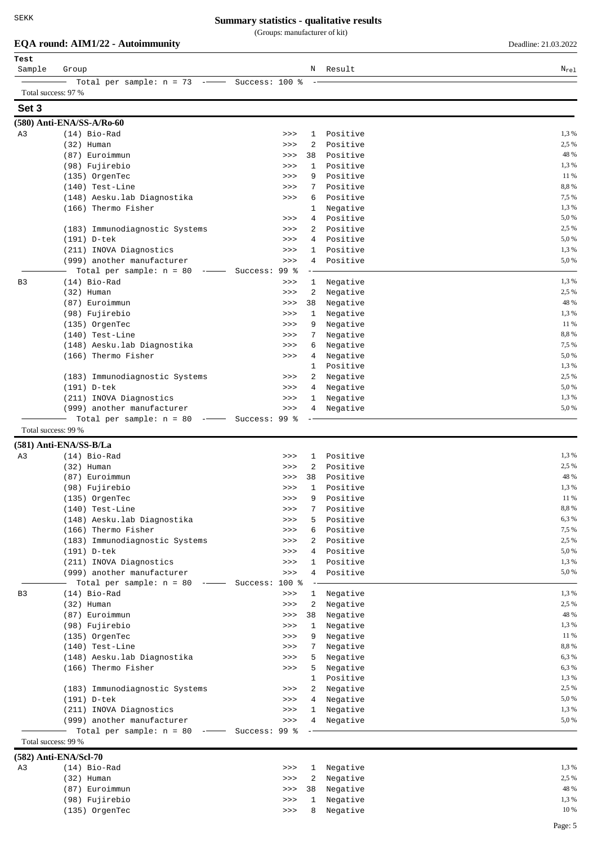(Groups: manufacturer of kit)

## **EQA round: AIM1/22 - Autoimmunity** Deadline: 21.03.2022

| Test<br>Sample      | Group                                                                                |                |                 |                   | N Result             | $\rm N_{\rm rel}$ |
|---------------------|--------------------------------------------------------------------------------------|----------------|-----------------|-------------------|----------------------|-------------------|
|                     | Total per sample: $n = 73$ -                                                         | Success: 100 % |                 |                   |                      |                   |
| Total success: 97 % |                                                                                      |                |                 |                   |                      |                   |
| Set 3               |                                                                                      |                |                 |                   |                      |                   |
|                     | (580) Anti-ENA/SS-A/Ro-60                                                            |                |                 |                   |                      |                   |
| A3                  | $(14)$ Bio-Rad                                                                       |                | >>              | $\mathbf{1}$      | Positive             | 1,3 %             |
|                     | $(32)$ Human                                                                         |                | >>              | 2                 | Positive             | 2,5 %             |
|                     | (87) Euroimmun                                                                       |                | >>              | 38                | Positive             | 48 %              |
|                     | (98) Fujirebio                                                                       |                | >>              | 1                 | Positive             | 1,3 %             |
|                     | (135) OrgenTec                                                                       |                | >>              | 9                 | Positive             | 11 %<br>8,8%      |
|                     | $(140)$ Test-Line<br>(148) Aesku.lab Diagnostika                                     |                | >><br>>>        | 7<br>6            | Positive<br>Positive | 7,5 %             |
|                     | (166) Thermo Fisher                                                                  |                |                 | 1                 | Negative             | 1,3 %             |
|                     |                                                                                      |                | >>              | 4                 | Positive             | 5,0%              |
|                     | (183) Immunodiagnostic Systems                                                       |                | >>              | $\overline{a}$    | Positive             | 2,5 %             |
|                     | (191) D-tek                                                                          |                | >>              | 4                 | Positive             | 5,0%              |
|                     | (211) INOVA Diagnostics                                                              |                | >>              | $\mathbf{1}$      | Positive             | 1,3 %             |
|                     | (999) another manufacturer                                                           |                | >>              | 4                 | Positive             | 5,0%              |
|                     | Total per sample: $n = 80$                                                           | Success:       | 99 <sub>8</sub> |                   |                      |                   |
| B <sub>3</sub>      | $(14)$ Bio-Rad                                                                       |                | >>              | $\mathbf{1}$      | Negative             | 1,3 %             |
|                     | $(32)$ Human                                                                         |                | >>              | 2                 | Negative             | 2,5 %             |
|                     | (87) Euroimmun                                                                       |                | >>              | 38                | Negative             | 48 %              |
|                     | (98) Fujirebio                                                                       |                | >>              | 1                 | Negative             | 1,3 %             |
|                     | (135) OrgenTec                                                                       |                | >>              | 9                 | Negative             | 11 %              |
|                     | $(140)$ Test-Line                                                                    |                | >>              | 7                 | Negative             | 8,8%              |
|                     | (148) Aesku.lab Diagnostika                                                          |                | >>              | 6                 | Negative             | 7,5 %             |
|                     | (166) Thermo Fisher                                                                  |                | >>              | 4                 | Negative             | 5,0 %             |
|                     |                                                                                      |                |                 | 1                 | Positive             | 1,3 %             |
|                     | (183) Immunodiagnostic Systems                                                       |                | >>              | 2                 | Negative             | 2,5 %             |
|                     | (191) D-tek                                                                          |                | >>              | 4                 | Negative             | 5,0%              |
|                     | (211) INOVA Diagnostics                                                              |                | >>              | 1                 | Negative             | 1,3 %<br>5,0%     |
|                     | (999) another manufacturer<br>Total per sample: $n = 80$<br>$\overline{\phantom{a}}$ | Success: 99 %  | >>              | 4                 | Negative             |                   |
| Total success: 99 % |                                                                                      |                |                 |                   |                      |                   |
|                     | (581) Anti-ENA/SS-B/La                                                               |                |                 |                   |                      |                   |
| A <sub>3</sub>      | $(14)$ Bio-Rad                                                                       |                | >>              | $\mathbf{1}$      | Positive             | 1,3 %             |
|                     | $(32)$ Human                                                                         |                | >>              | 2                 | Positive             | 2,5 %             |
|                     | (87) Euroimmun                                                                       |                | >>              | 38                | Positive             | 48 %              |
|                     | (98) Fujirebio                                                                       |                | >>              | 1                 | Positive             | 1,3 %             |
|                     | (135) OrgenTec                                                                       |                | >>              | 9                 | Positive             | 11 %              |
|                     | $(140)$ Test-Line                                                                    |                | >>              | 7                 | Positive             | 8,8%              |
|                     | (148) Aesku. lab Diagnostika                                                         |                | >>              | 5                 | Positive             | 6,3%              |
|                     | (166) Thermo Fisher                                                                  |                | >>              | 6                 | Positive             | 7,5 %             |
|                     | (183) Immunodiagnostic Systems                                                       |                | >>              | 2                 | Positive             | 2,5 %             |
|                     | (191) D-tek                                                                          |                | >>              | 4                 | Positive             | 5,0 %             |
|                     | (211) INOVA Diagnostics                                                              |                | >>              | $\mathbf{1}$      | Positive             | 1,3 %             |
|                     | (999) another manufacturer                                                           |                | >>              | 4                 | Positive             | 5,0 %             |
|                     | Total per sample: $n = 80$<br>$-$                                                    | Success: 100 % |                 |                   |                      |                   |
| B3                  | $(14)$ Bio-Rad                                                                       |                | $>>>$           | $\mathbf{1}$      | Negative             | 1,3 %             |
|                     | $(32)$ Human                                                                         |                | >>              | 2                 | Negative             | 2,5 %             |
|                     | (87) Euroimmun                                                                       |                | >>              | 38                | Negative             | 48 %              |
|                     | (98) Fujirebio                                                                       |                | >>              | $\mathbf{1}$      | Negative             | 1,3 %             |
|                     | (135) OrgenTec                                                                       |                | >>              | 9                 | Negative             | 11 %              |
|                     | $(140)$ Test-Line                                                                    |                | >>              | 7                 | Negative             | 8,8%              |
|                     | (148) Aesku.lab Diagnostika                                                          |                | >>              | 5                 | Negative             | 6,3%              |
|                     | (166) Thermo Fisher                                                                  |                | >>              | 5<br>$\mathbf{1}$ | Negative             | 6,3 %<br>1,3 %    |
|                     | (183) Immunodiagnostic Systems                                                       |                |                 | $\overline{a}$    | Positive             | 2,5 %             |
|                     | (191) D-tek                                                                          |                | >><br>>>        | 4                 | Negative             | 5,0 %             |
|                     | (211) INOVA Diagnostics                                                              |                | >>              | 1                 | Negative<br>Negative | 1,3 %             |
|                     | (999) another manufacturer                                                           |                | >>              | 4                 | Negative             | 5,0 %             |
|                     | Total per sample: $n = 80$ -                                                         | Success: 99 %  |                 |                   |                      |                   |
| Total success: 99 % |                                                                                      |                |                 |                   |                      |                   |
|                     | (582) Anti-ENA/Scl-70                                                                |                |                 |                   |                      |                   |
| A3                  | $(14)$ Bio-Rad                                                                       |                | >>              | $\mathbf{1}$      | Negative             | 1,3 %             |
|                     | $(32)$ Human                                                                         |                | >>              | 2                 | Negative             | 2,5 %             |
|                     | (87) Euroimmun                                                                       |                | >>              | 38                | Negative             | 48 %              |
|                     | (98) Fujirebio                                                                       |                | >>              | 1                 | Negative             | 1,3 %             |
|                     | (135) OrgenTec                                                                       |                | $>>>$           | 8                 | Negative             | 10 %              |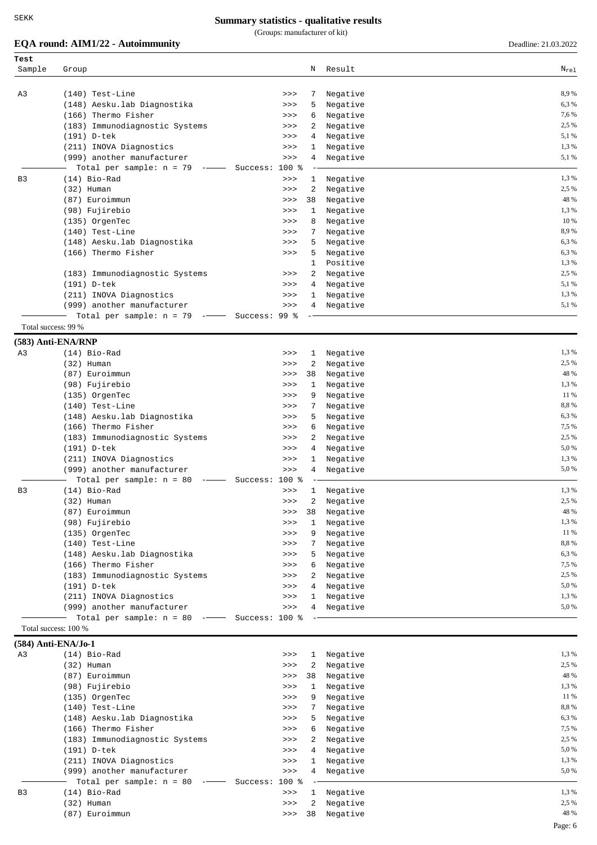(Groups: manufacturer of kit)

# **EQA round: AIM1/22 - Autoimmunity** Deadline: 21.03.2022

| Test<br>Sample | Group                                                  |                | Ν              | Result               | $N_{re1}$      |
|----------------|--------------------------------------------------------|----------------|----------------|----------------------|----------------|
|                |                                                        |                |                |                      |                |
| A3             | $(140)$ Test-Line                                      | >>             | 7              | Negative             | 8,9%           |
|                | (148) Aesku.lab Diagnostika                            | >>             | 5              | Negative             | 6,3%           |
|                | (166) Thermo Fisher                                    | >>             | 6              | Negative             | 7,6%           |
|                | (183) Immunodiagnostic Systems                         | >>             | 2              | Negative             | 2,5 %<br>5,1 % |
|                | (191) D-tek<br>(211) INOVA Diagnostics                 | >><br>>>       | 4<br>1         | Negative<br>Negative | 1,3 %          |
|                | (999) another manufacturer                             | >>             | 4              | Negative             | 5,1 %          |
|                | Total per sample: $n = 79$<br>$\overline{\phantom{a}}$ | Success: 100 % |                |                      |                |
| B <sub>3</sub> | $(14)$ Bio-Rad                                         | >>             | $\mathbf{1}$   | Negative             | 1,3%           |
|                | $(32)$ Human                                           | >>             | 2              | Negative             | 2,5 %          |
|                | (87) Euroimmun                                         | >>             | 38             | Negative             | 48 %           |
|                | (98) Fujirebio                                         | >>             | 1              | Negative             | 1,3%           |
|                | (135) OrgenTec                                         | >>             | 8              | Negative             | 10 %           |
|                | $(140)$ Test-Line                                      | >>             | 7              | Negative             | 8,9%           |
|                | (148) Aesku. lab Diagnostika                           | >>             | 5              | Negative             | 6,3%           |
|                | (166) Thermo Fisher                                    | >>             | 5              | Negative             | 6,3%           |
|                |                                                        |                | 1              | Positive             | 1,3 %          |
|                | (183) Immunodiagnostic Systems                         | >>             | 2              | Negative             | 2,5 %          |
|                | (191) D-tek                                            | >>             | 4              | Negative             | 5,1 %          |
|                | (211) INOVA Diagnostics                                | >>             | 1              | Negative             | 1,3%           |
|                | (999) another manufacturer                             | >>             | 4              | Negative             | 5,1 %          |
|                | Total per sample: $n = 79$ --                          | Success: 99 %  |                |                      |                |
|                | Total success: 99 %                                    |                |                |                      |                |
|                | (583) Anti-ENA/RNP                                     |                |                |                      |                |
| A3             | $(14)$ Bio-Rad                                         | >>             | $\mathbf{1}$   | Negative             | 1,3%           |
|                | $(32)$ Human                                           | >>             | 2              | Negative             | 2,5 %          |
|                | (87) Euroimmun                                         | >>             | 38             | Negative             | 48 %           |
|                | (98) Fujirebio                                         | >>             | $\mathbf{1}$   | Negative             | 1,3%           |
|                | (135) OrgenTec                                         | >>             | 9              | Negative             | 11 %           |
|                | $(140)$ Test-Line                                      | >>             |                | Negative             | 8,8%<br>6,3%   |
|                | (148) Aesku.lab Diagnostika<br>(166) Thermo Fisher     | >>             | 5<br>6         | Negative             | 7,5 %          |
|                | (183) Immunodiagnostic Systems                         | >><br>>>       | 2              | Negative<br>Negative | 2,5 %          |
|                | (191) D-tek                                            | >>             | 4              | Negative             | 5,0%           |
|                | (211) INOVA Diagnostics                                | >>             | 1              | Negative             | 1,3%           |
|                | (999) another manufacturer                             | >>             | 4              | Negative             | 5,0%           |
|                | Total per sample: $n = 80$<br>$ -$                     | Success: 100 % |                |                      |                |
| B <sub>3</sub> | (14) Bio-Rad                                           | >>             | $\mathbf{1}$   | Negative             | 1,3%           |
|                | (32) Human                                             | >>             | $\overline{a}$ | Negative             | 2,5 %          |
|                | (87) Euroimmun                                         | >>             | 38             | Negative             | 48 %           |
|                | (98) Fujirebio                                         | >>             | $\mathbf{1}$   | Negative             | 1,3 %          |
|                | (135) OrgenTec                                         | >>             | 9              | Negative             | 11 %           |
|                | $(140)$ Test-Line                                      | >>             | 7              | Negative             | 8,8%           |
|                | (148) Aesku.lab Diagnostika                            | >>             | 5              | Negative             | 6,3%           |
|                | (166) Thermo Fisher                                    | >>             | 6              | Negative             | 7,5 %          |
|                | (183) Immunodiagnostic Systems                         | >>             | 2              | Negative             | 2,5 %          |
|                | (191) D-tek                                            | >>             | 4              | Negative             | 5,0 %          |
|                | (211) INOVA Diagnostics                                | >>             | 1              | Negative             | 1,3%           |
|                | (999) another manufacturer                             | $>>>$          | 4              | Negative             | 5,0%           |
|                | Total per sample: $n = 80$ -                           | Success: 100 % |                |                      |                |
|                | Total success: 100 %                                   |                |                |                      |                |
|                | $(584)$ Anti-ENA/Jo-1                                  |                |                |                      |                |
| A3             | $(14)$ Bio-Rad                                         | >>             | 1              | Negative             | 1,3%           |
|                | $(32)$ Human                                           | >>             | 2              | Negative             | 2,5 %          |
|                | (87) Euroimmun                                         | >>             | 38             | Negative             | 48 %           |
|                | (98) Fujirebio                                         | >>             | $\mathbf{1}$   | Negative             | 1,3%           |
|                | (135) OrgenTec                                         | $>>>$          | 9              | Negative             | 11 %           |
|                | $(140)$ Test-Line                                      | >>             | 7              | Negative             | 8,8%           |
|                | (148) Aesku.lab Diagnostika                            | >>             | 5              | Negative             | 6,3%           |
|                | (166) Thermo Fisher                                    | >>             | 6              | Negative             | 7,5 %          |
|                | (183) Immunodiagnostic Systems                         | >>             | $\overline{2}$ | Negative             | 2,5 %          |
|                | (191) D-tek                                            | >>             | 4              | Negative             | 5,0%           |
|                | (211) INOVA Diagnostics                                | >>             | 1              | Negative             | 1,3%           |
|                | (999) another manufacturer                             | $>>>$          | 4              | Negative             | 5,0%           |
|                | Total per sample: $n = 80$                             | Success: 100 % |                |                      |                |
| B3             | $(14)$ Bio-Rad                                         | $>>>$          | $\mathbf{1}$   | Negative             | 1,3%<br>2,5 %  |
|                | $(32)$ Human<br>(87) Euroimmun                         | >>             | 2<br>38        | Negative             | 48 %           |
|                |                                                        | >>             |                | Negative             |                |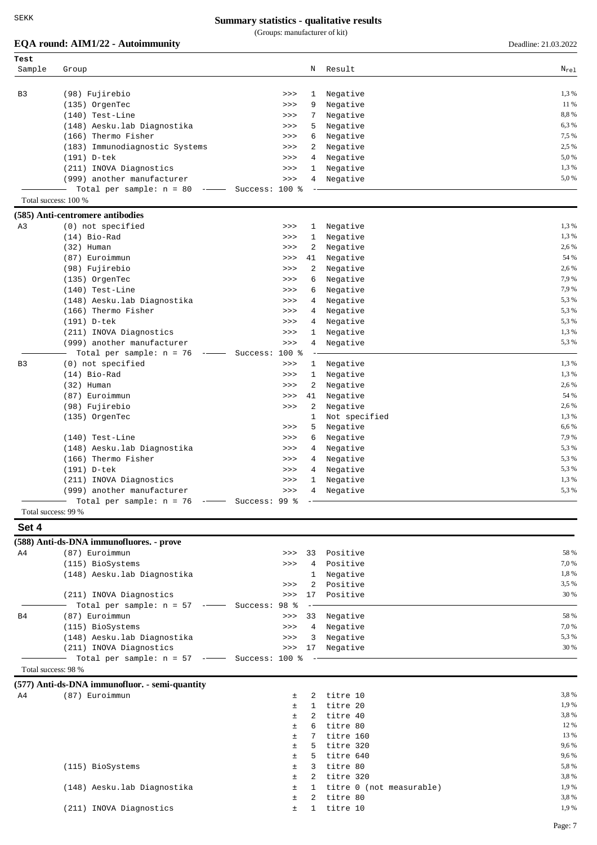(Groups: manufacturer of kit)

|                     | EQA round: AIM1/22 - Autoimmunity                                                                                                                                                                                                                                                                                                                                                                                                                                           |                |                 |                          | Deadline: 21.03.2022 |
|---------------------|-----------------------------------------------------------------------------------------------------------------------------------------------------------------------------------------------------------------------------------------------------------------------------------------------------------------------------------------------------------------------------------------------------------------------------------------------------------------------------|----------------|-----------------|--------------------------|----------------------|
| Test                |                                                                                                                                                                                                                                                                                                                                                                                                                                                                             |                |                 |                          |                      |
| Sample              | Group                                                                                                                                                                                                                                                                                                                                                                                                                                                                       |                | Ν               | Result                   | $N_{re1}$            |
|                     |                                                                                                                                                                                                                                                                                                                                                                                                                                                                             |                |                 |                          |                      |
| B <sub>3</sub>      | (98) Fujirebio                                                                                                                                                                                                                                                                                                                                                                                                                                                              | >>             | 1               | Negative                 | 1,3 %                |
|                     | (135) OrgenTec                                                                                                                                                                                                                                                                                                                                                                                                                                                              | >>             | 9               | Negative                 | 11 %                 |
|                     | $(140)$ Test-Line                                                                                                                                                                                                                                                                                                                                                                                                                                                           | >>>            | 7               | Negative                 | 8,8%                 |
|                     | (148) Aesku.lab Diagnostika                                                                                                                                                                                                                                                                                                                                                                                                                                                 | >>>            | 5               | Negative                 | 6,3%                 |
|                     | (166) Thermo Fisher                                                                                                                                                                                                                                                                                                                                                                                                                                                         | >>             | 6               | Negative                 | 7,5 %                |
|                     | (183) Immunodiagnostic Systems                                                                                                                                                                                                                                                                                                                                                                                                                                              | >>             | 2               | Negative                 | 2,5 %                |
|                     | (191) D-tek                                                                                                                                                                                                                                                                                                                                                                                                                                                                 | >>             | 4               | Negative                 | 5,0%                 |
|                     | (211) INOVA Diagnostics                                                                                                                                                                                                                                                                                                                                                                                                                                                     | >>             | 1               | Negative                 | 1,3 %                |
|                     | (999) another manufacturer                                                                                                                                                                                                                                                                                                                                                                                                                                                  | >>             | 4               | Negative                 | 5,0%                 |
|                     | Total per sample: $n = 80$<br>$\frac{1}{1-\frac{1}{1-\frac{1}{1-\frac{1}{1-\frac{1}{1-\frac{1}{1-\frac{1}{1-\frac{1}{1-\frac{1}{1-\frac{1}{1-\frac{1}{1-\frac{1}{1-\frac{1}{1-\frac{1}{1-\frac{1}{1-\frac{1}{1-\frac{1}{1-\frac{1}{1-\frac{1}{1-\frac{1}{1-\frac{1}{1-\frac{1}{1-\frac{1}{1-\frac{1}{1-\frac{1}{1-\frac{1}{1-\frac{1}{1-\frac{1}{1-\frac{1}{1-\frac{1}{1-\frac{1}{1-\frac{1}{1-\frac{1}{1-\frac{1}{1-\frac{1}{1-\frac{1}{1-\frac{1$<br>Total success: 100 % | Success: 100 % |                 |                          |                      |
|                     | (585) Anti-centromere antibodies                                                                                                                                                                                                                                                                                                                                                                                                                                            |                |                 |                          |                      |
| A3                  | (0) not specified                                                                                                                                                                                                                                                                                                                                                                                                                                                           | >>             | $\mathbf{1}$    | Negative                 | 1,3 %                |
|                     | $(14)$ Bio-Rad                                                                                                                                                                                                                                                                                                                                                                                                                                                              | >>             | 1               | Negative                 | 1,3 %                |
|                     | $(32)$ Human                                                                                                                                                                                                                                                                                                                                                                                                                                                                | >>             | 2               | Negative                 | 2,6 %                |
|                     | (87) Euroimmun                                                                                                                                                                                                                                                                                                                                                                                                                                                              | >>             | 41              | Negative                 | 54 %                 |
|                     | (98) Fujirebio                                                                                                                                                                                                                                                                                                                                                                                                                                                              | >>             | 2               | Negative                 | 2,6 %                |
|                     | (135) OrgenTec                                                                                                                                                                                                                                                                                                                                                                                                                                                              | >>             | 6               | Negative                 | 7,9 %                |
|                     | $(140)$ Test-Line                                                                                                                                                                                                                                                                                                                                                                                                                                                           | >>             | 6               | Negative                 | 7,9%                 |
|                     | (148) Aesku.lab Diagnostika                                                                                                                                                                                                                                                                                                                                                                                                                                                 | >>             | 4               | Negative                 | 5,3 %                |
|                     | (166) Thermo Fisher                                                                                                                                                                                                                                                                                                                                                                                                                                                         | >>             | 4               | Negative                 | 5,3 %                |
|                     | (191) D-tek                                                                                                                                                                                                                                                                                                                                                                                                                                                                 | >>             | 4               | Negative                 | 5,3 %                |
|                     | (211) INOVA Diagnostics                                                                                                                                                                                                                                                                                                                                                                                                                                                     | >>             | 1               | Negative                 | 1,3 %                |
|                     | (999) another manufacturer                                                                                                                                                                                                                                                                                                                                                                                                                                                  | >>             | 4               | Negative                 | 5,3 %                |
|                     |                                                                                                                                                                                                                                                                                                                                                                                                                                                                             | Success: 100 % |                 |                          |                      |
|                     | Total per sample: $n = 76$<br>$- -$                                                                                                                                                                                                                                                                                                                                                                                                                                         |                |                 |                          | 1,3%                 |
| B <sub>3</sub>      | (0) not specified                                                                                                                                                                                                                                                                                                                                                                                                                                                           | >>             | $\mathbf{1}$    | Negative                 | 1,3 %                |
|                     | $(14)$ Bio-Rad                                                                                                                                                                                                                                                                                                                                                                                                                                                              | >>             | 1               | Negative                 | 2,6 %                |
|                     | $(32)$ Human                                                                                                                                                                                                                                                                                                                                                                                                                                                                | >>             | 2               | Negative                 | 54 %                 |
|                     | (87) Euroimmun                                                                                                                                                                                                                                                                                                                                                                                                                                                              | >>             | 41              | Negative                 | 2,6 %                |
|                     | (98) Fujirebio                                                                                                                                                                                                                                                                                                                                                                                                                                                              | >>             | 2               | Negative                 |                      |
|                     | (135) OrgenTec                                                                                                                                                                                                                                                                                                                                                                                                                                                              |                | 1               | Not specified            | 1,3 %<br>6,6 %       |
|                     |                                                                                                                                                                                                                                                                                                                                                                                                                                                                             | >>             | 5               | Negative                 |                      |
|                     | $(140)$ Test-Line                                                                                                                                                                                                                                                                                                                                                                                                                                                           | >>             | 6               | Negative                 | 7,9 %                |
|                     | (148) Aesku.lab Diagnostika                                                                                                                                                                                                                                                                                                                                                                                                                                                 | >>             | 4               | Negative                 | 5,3 %                |
|                     | (166) Thermo Fisher                                                                                                                                                                                                                                                                                                                                                                                                                                                         | >>             | 4               | Negative                 | 5,3 %                |
|                     | (191) D-tek                                                                                                                                                                                                                                                                                                                                                                                                                                                                 | >>             | 4               | Negative                 | 5,3 %<br>1,3 %       |
|                     | (211) INOVA Diagnostics<br>(999) another manufacturer                                                                                                                                                                                                                                                                                                                                                                                                                       | >><br>>>       | 1               | Negative<br>4 Negative   | 5,3%                 |
|                     | Total per sample: $n = 76$ ---- Success: 99 %                                                                                                                                                                                                                                                                                                                                                                                                                               |                |                 |                          |                      |
| Total success: 99 % |                                                                                                                                                                                                                                                                                                                                                                                                                                                                             |                |                 |                          |                      |
| Set 4               |                                                                                                                                                                                                                                                                                                                                                                                                                                                                             |                |                 |                          |                      |
|                     | (588) Anti-ds-DNA immunofluores. - prove                                                                                                                                                                                                                                                                                                                                                                                                                                    |                |                 |                          |                      |
| A4                  | (87) Euroimmun                                                                                                                                                                                                                                                                                                                                                                                                                                                              | >>             |                 | 33 Positive              | 58 %                 |
|                     | (115) BioSystems                                                                                                                                                                                                                                                                                                                                                                                                                                                            | >>             | $\overline{4}$  | Positive                 | 7,0%                 |
|                     | (148) Aesku.lab Diagnostika                                                                                                                                                                                                                                                                                                                                                                                                                                                 |                | $\mathbf{1}$    | Negative                 | 1,8%                 |
|                     |                                                                                                                                                                                                                                                                                                                                                                                                                                                                             | >>             | $2^{\circ}$     | Positive                 | 3,5 %                |
|                     | (211) INOVA Diagnostics                                                                                                                                                                                                                                                                                                                                                                                                                                                     | >>             | 17              | Positive                 | 30 %                 |
|                     | Total per sample: $n = 57$ -- Success: 98 %                                                                                                                                                                                                                                                                                                                                                                                                                                 |                |                 |                          |                      |
| B4                  | (87) Euroimmun                                                                                                                                                                                                                                                                                                                                                                                                                                                              | >>             | 33              | Negative                 | 58 %                 |
|                     | (115) BioSystems                                                                                                                                                                                                                                                                                                                                                                                                                                                            | >>             | $4\overline{ }$ | Negative                 | 7,0 %                |
|                     | (148) Aesku.lab Diagnostika                                                                                                                                                                                                                                                                                                                                                                                                                                                 | >>             | 3 <sup>7</sup>  | Negative                 | 5,3 %                |
|                     | (211) INOVA Diagnostics                                                                                                                                                                                                                                                                                                                                                                                                                                                     |                |                 | >>> 17 Negative          | 30 %                 |
|                     | Total per sample: $n = 57$ -- Success: 100 %                                                                                                                                                                                                                                                                                                                                                                                                                                |                |                 |                          |                      |
| Total success: 98 % |                                                                                                                                                                                                                                                                                                                                                                                                                                                                             |                |                 |                          |                      |
|                     | (577) Anti-ds-DNA immunofluor. - semi-quantity                                                                                                                                                                                                                                                                                                                                                                                                                              |                |                 |                          |                      |
| A4                  | (87) Euroimmun                                                                                                                                                                                                                                                                                                                                                                                                                                                              | ±              | 2               | titre 10                 | 3,8%                 |
|                     |                                                                                                                                                                                                                                                                                                                                                                                                                                                                             | $\pm$          | $\mathbf{1}$    | titre 20                 | 1,9 %                |
|                     |                                                                                                                                                                                                                                                                                                                                                                                                                                                                             | $\pm$          | 2               | titre 40                 | 3,8%                 |
|                     |                                                                                                                                                                                                                                                                                                                                                                                                                                                                             | Ŧ.             | 6               | titre 80                 | 12 %                 |
|                     |                                                                                                                                                                                                                                                                                                                                                                                                                                                                             | Ŧ.             | 7               | titre 160                | 13 %                 |
|                     |                                                                                                                                                                                                                                                                                                                                                                                                                                                                             | $\pm$          | 5               | titre 320                | 9,6 %                |
|                     |                                                                                                                                                                                                                                                                                                                                                                                                                                                                             | $\pm$          | 5               | titre 640                | 9,6 %                |
|                     | (115) BioSystems                                                                                                                                                                                                                                                                                                                                                                                                                                                            | ±              | 3               | titre 80                 | 5,8%                 |
|                     |                                                                                                                                                                                                                                                                                                                                                                                                                                                                             | Ŧ.             |                 | 2 titre 320              | 3,8%                 |
|                     | (148) Aesku.lab Diagnostika                                                                                                                                                                                                                                                                                                                                                                                                                                                 | ±              | $\mathbf{1}$    | titre 0 (not measurable) | 1,9 %                |
|                     |                                                                                                                                                                                                                                                                                                                                                                                                                                                                             | ±              | 2               | titre 80                 | 3,8%                 |
|                     | (211) INOVA Diagnostics                                                                                                                                                                                                                                                                                                                                                                                                                                                     | ±.             |                 | 1 titre 10               | 1,9%                 |